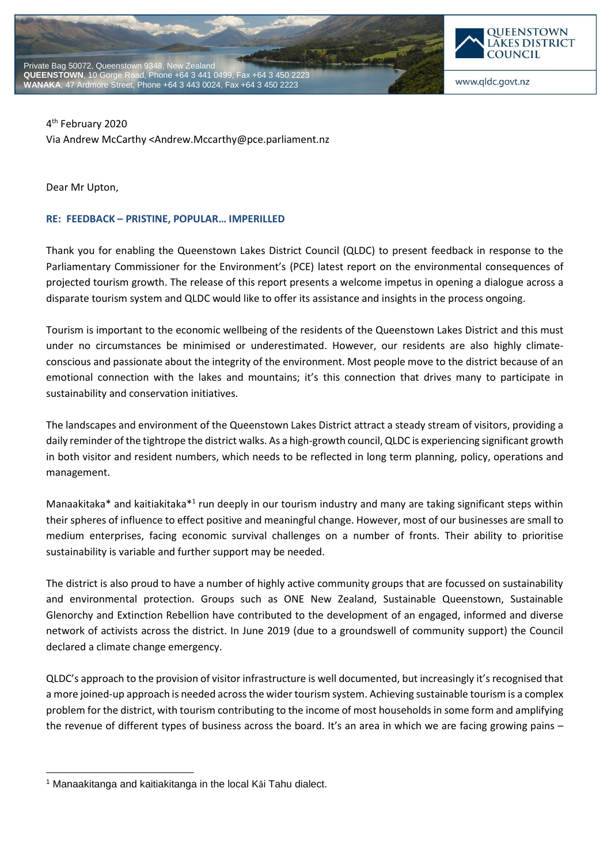



www.qldc.govt.nz

4<sup>th</sup> February 2020 Via Andrew McCarthy <Andrew.Mccarthy@pce.parliament.nz

Dear Mr Upton,

## **RE: FEEDBACK – PRISTINE, POPULAR… IMPERILLED**

Thank you for enabling the Queenstown Lakes District Council (QLDC) to present feedback in response to the Parliamentary Commissioner for the Environment's (PCE) latest report on the environmental consequences of projected tourism growth. The release of this report presents a welcome impetus in opening a dialogue across a disparate tourism system and QLDC would like to offer its assistance and insights in the process ongoing.

Tourism is important to the economic wellbeing of the residents of the Queenstown Lakes District and this must under no circumstances be minimised or underestimated. However, our residents are also highly climateconscious and passionate about the integrity of the environment. Most people move to the district because of an emotional connection with the lakes and mountains; it's this connection that drives many to participate in sustainability and conservation initiatives.

The landscapes and environment of the Queenstown Lakes District attract a steady stream of visitors, providing a daily reminder of the tightrope the district walks. As a high-growth council, QLDC is experiencing significant growth in both visitor and resident numbers, which needs to be reflected in long term planning, policy, operations and management.

Manaakitaka\* and kaitiakitaka\*<sup>1</sup> run deeply in our tourism industry and many are taking significant steps within their spheres of influence to effect positive and meaningful change. However, most of our businesses are small to medium enterprises, facing economic survival challenges on a number of fronts. Their ability to prioritise sustainability is variable and further support may be needed.

The district is also proud to have a number of highly active community groups that are focussed on sustainability and environmental protection. Groups such as ONE New Zealand, Sustainable Queenstown, Sustainable Glenorchy and Extinction Rebellion have contributed to the development of an engaged, informed and diverse network of activists across the district. In June 2019 (due to a groundswell of community support) the Council declared a climate change emergency.

QLDC's approach to the provision of visitor infrastructure is well documented, but increasingly it's recognised that a more joined-up approach is needed across the wider tourism system. Achieving sustainable tourism is a complex problem for the district, with tourism contributing to the income of most households in some form and amplifying the revenue of different types of business across the board. It's an area in which we are facing growing pains -

-

<sup>1</sup> Manaakitanga and kaitiakitanga in the local Kāi Tahu dialect.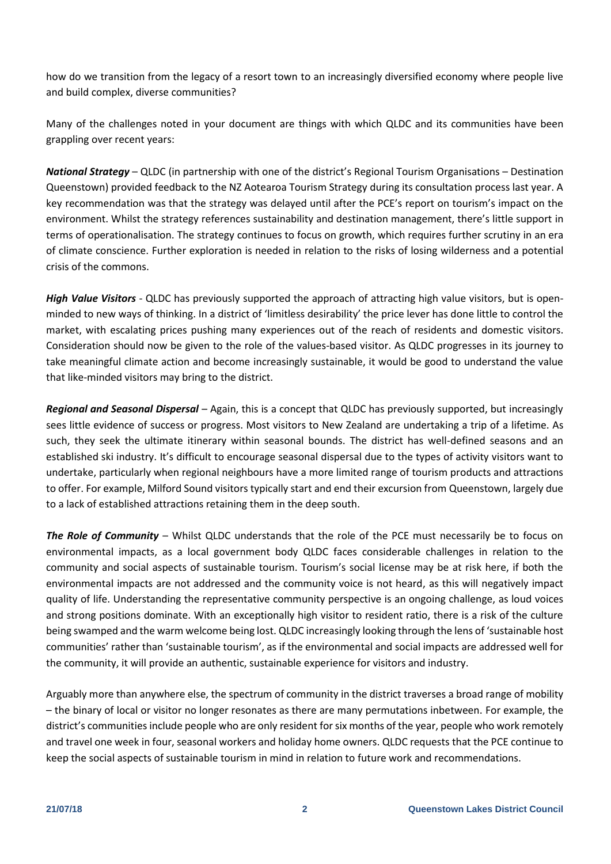how do we transition from the legacy of a resort town to an increasingly diversified economy where people live and build complex, diverse communities?

Many of the challenges noted in your document are things with which QLDC and its communities have been grappling over recent years:

*National Strategy* – QLDC (in partnership with one of the district's Regional Tourism Organisations – Destination Queenstown) provided feedback to the NZ Aotearoa Tourism Strategy during its consultation process last year. A key recommendation was that the strategy was delayed until after the PCE's report on tourism's impact on the environment. Whilst the strategy references sustainability and destination management, there's little support in terms of operationalisation. The strategy continues to focus on growth, which requires further scrutiny in an era of climate conscience. Further exploration is needed in relation to the risks of losing wilderness and a potential crisis of the commons.

*High Value Visitors* - QLDC has previously supported the approach of attracting high value visitors, but is openminded to new ways of thinking. In a district of 'limitless desirability' the price lever has done little to control the market, with escalating prices pushing many experiences out of the reach of residents and domestic visitors. Consideration should now be given to the role of the values-based visitor. As QLDC progresses in its journey to take meaningful climate action and become increasingly sustainable, it would be good to understand the value that like-minded visitors may bring to the district.

*Regional and Seasonal Dispersal* – Again, this is a concept that QLDC has previously supported, but increasingly sees little evidence of success or progress. Most visitors to New Zealand are undertaking a trip of a lifetime. As such, they seek the ultimate itinerary within seasonal bounds. The district has well-defined seasons and an established ski industry. It's difficult to encourage seasonal dispersal due to the types of activity visitors want to undertake, particularly when regional neighbours have a more limited range of tourism products and attractions to offer. For example, Milford Sound visitors typically start and end their excursion from Queenstown, largely due to a lack of established attractions retaining them in the deep south.

*The Role of Community* – Whilst QLDC understands that the role of the PCE must necessarily be to focus on environmental impacts, as a local government body QLDC faces considerable challenges in relation to the community and social aspects of sustainable tourism. Tourism's social license may be at risk here, if both the environmental impacts are not addressed and the community voice is not heard, as this will negatively impact quality of life. Understanding the representative community perspective is an ongoing challenge, as loud voices and strong positions dominate. With an exceptionally high visitor to resident ratio, there is a risk of the culture being swamped and the warm welcome being lost. QLDC increasingly looking through the lens of 'sustainable host communities' rather than 'sustainable tourism', as if the environmental and social impacts are addressed well for the community, it will provide an authentic, sustainable experience for visitors and industry.

Arguably more than anywhere else, the spectrum of community in the district traverses a broad range of mobility – the binary of local or visitor no longer resonates as there are many permutations inbetween. For example, the district's communities include people who are only resident for six months of the year, people who work remotely and travel one week in four, seasonal workers and holiday home owners. QLDC requests that the PCE continue to keep the social aspects of sustainable tourism in mind in relation to future work and recommendations.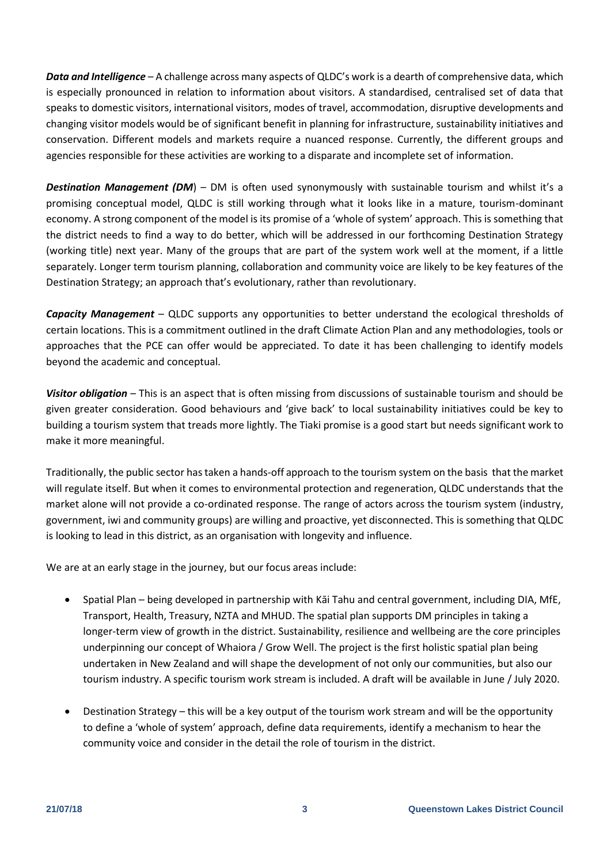*Data and Intelligence* – A challenge across many aspects of QLDC's work is a dearth of comprehensive data, which is especially pronounced in relation to information about visitors. A standardised, centralised set of data that speaks to domestic visitors, international visitors, modes of travel, accommodation, disruptive developments and changing visitor models would be of significant benefit in planning for infrastructure, sustainability initiatives and conservation. Different models and markets require a nuanced response. Currently, the different groups and agencies responsible for these activities are working to a disparate and incomplete set of information.

**Destination Management (DM)** – DM is often used synonymously with sustainable tourism and whilst it's a promising conceptual model, QLDC is still working through what it looks like in a mature, tourism-dominant economy. A strong component of the model is its promise of a 'whole of system' approach. This is something that the district needs to find a way to do better, which will be addressed in our forthcoming Destination Strategy (working title) next year. Many of the groups that are part of the system work well at the moment, if a little separately. Longer term tourism planning, collaboration and community voice are likely to be key features of the Destination Strategy; an approach that's evolutionary, rather than revolutionary.

*Capacity Management* – QLDC supports any opportunities to better understand the ecological thresholds of certain locations. This is a commitment outlined in the draft Climate Action Plan and any methodologies, tools or approaches that the PCE can offer would be appreciated. To date it has been challenging to identify models beyond the academic and conceptual.

*Visitor obligation* – This is an aspect that is often missing from discussions of sustainable tourism and should be given greater consideration. Good behaviours and 'give back' to local sustainability initiatives could be key to building a tourism system that treads more lightly. The Tiaki promise is a good start but needs significant work to make it more meaningful.

Traditionally, the public sector has taken a hands-off approach to the tourism system on the basis that the market will regulate itself. But when it comes to environmental protection and regeneration, QLDC understands that the market alone will not provide a co-ordinated response. The range of actors across the tourism system (industry, government, iwi and community groups) are willing and proactive, yet disconnected. This is something that QLDC is looking to lead in this district, as an organisation with longevity and influence.

We are at an early stage in the journey, but our focus areas include:

- Spatial Plan being developed in partnership with Kāi Tahu and central government, including DIA, MfE, Transport, Health, Treasury, NZTA and MHUD. The spatial plan supports DM principles in taking a longer-term view of growth in the district. Sustainability, resilience and wellbeing are the core principles underpinning our concept of Whaiora / Grow Well. The project is the first holistic spatial plan being undertaken in New Zealand and will shape the development of not only our communities, but also our tourism industry. A specific tourism work stream is included. A draft will be available in June / July 2020.
- Destination Strategy this will be a key output of the tourism work stream and will be the opportunity to define a 'whole of system' approach, define data requirements, identify a mechanism to hear the community voice and consider in the detail the role of tourism in the district.